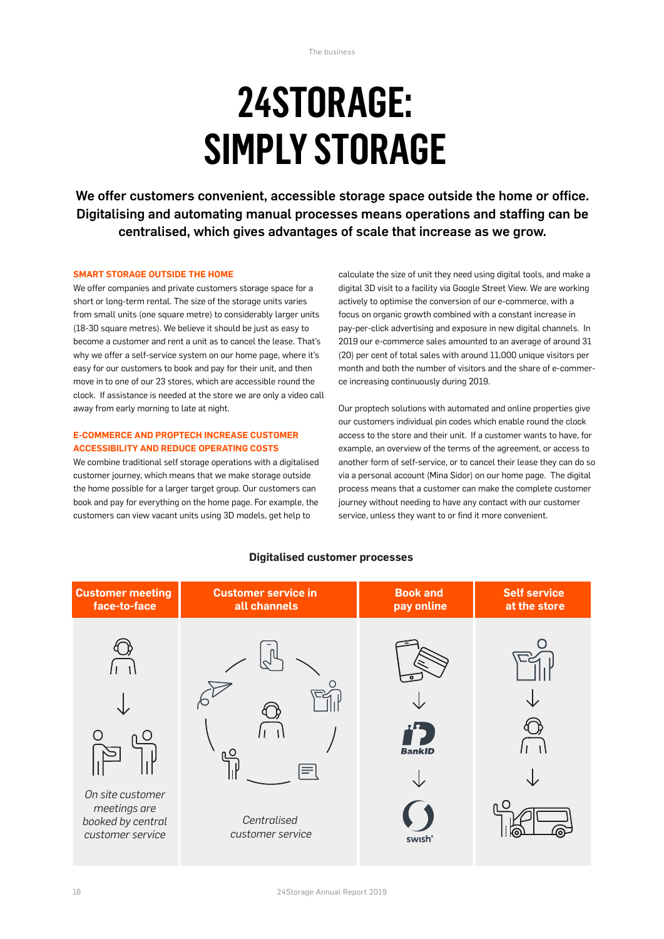# **24STORAGE: SIMPLY STORAGE**

We offer customers convenient, accessible storage space outside the home or office. Digitalising and automating manual processes means operations and staffing can be centralised, which gives advantages of scale that increase as we grow.

#### **SMART STORAGE OUTSIDE THE HOME**

We offer companies and private customers storage space for a short or long-term rental. The size of the storage units varies from small units (one square metre) to considerably larger units (18-30 square metres). We believe it should be just as easy to become a customer and rent a unit as to cancel the lease. That's why we offer a self-service system on our home page, where it's easy for our customers to book and pay for their unit, and then move in to one of our 23 stores, which are accessible round the clock. If assistance is needed at the store we are only a video call away from early morning to late at night.

#### **E-COMMERCE AND PROPTECH INCREASE CUSTOMER ACCESSIBILITY AND REDUCE OPERATING COSTS**

We combine traditional self storage operations with a digitalised customer journey, which means that we make storage outside the home possible for a larger target group. Our customers can book and pay for everything on the home page. For example, the customers can view vacant units using 3D models, get help to

calculate the size of unit they need using digital tools, and make a digital 3D visit to a facility via Google Street View. We are working actively to optimise the conversion of our e-commerce, with a focus on organic growth combined with a constant increase in pay-per-click advertising and exposure in new digital channels. In 2019 our e-commerce sales amounted to an average of around 31 (20) per cent of total sales with around 11,000 unique visitors per month and both the number of visitors and the share of e-commerce increasing continuously during 2019.

Our proptech solutions with automated and online properties give our customers individual pin codes which enable round the clock access to the store and their unit. If a customer wants to have, for example, an overview of the terms of the agreement, or access to another form of self-service, or to cancel their lease they can do so via a personal account (Mina Sidor) on our home page. The digital process means that a customer can make the complete customer journey without needing to have any contact with our customer service, unless they want to or find it more convenient.



# **Digitalised customer processes**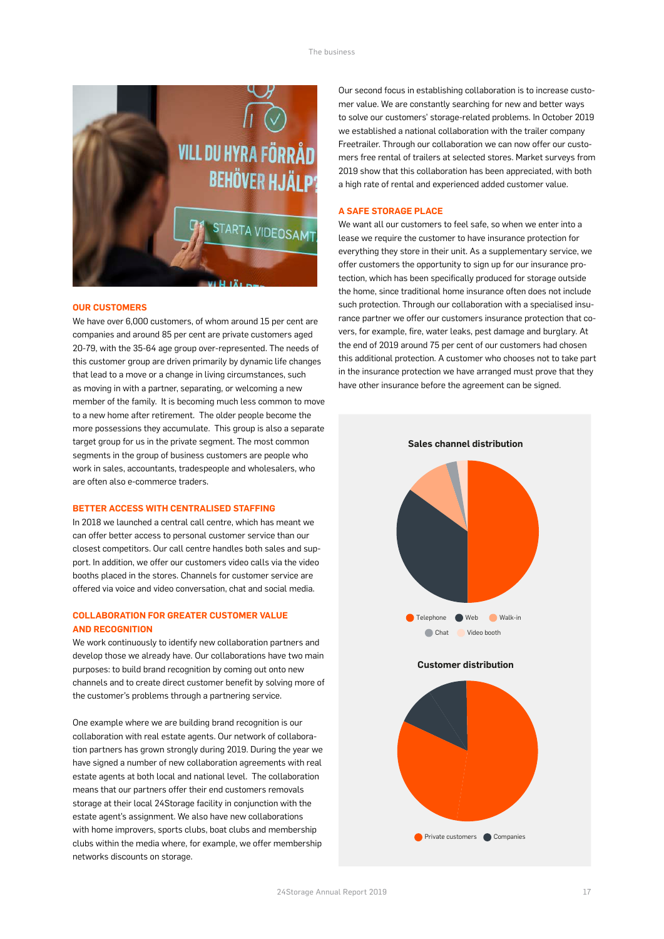

#### **OUR CUSTOMERS**

We have over 6,000 customers, of whom around 15 per cent are companies and around 85 per cent are private customers aged 20-79, with the 35-64 age group over-represented. The needs of this customer group are driven primarily by dynamic life changes that lead to a move or a change in living circumstances, such as moving in with a partner, separating, or welcoming a new member of the family. It is becoming much less common to move to a new home after retirement. The older people become the more possessions they accumulate. This group is also a separate target group for us in the private segment. The most common segments in the group of business customers are people who work in sales, accountants, tradespeople and wholesalers, who are often also e-commerce traders.

#### **BETTER ACCESS WITH CENTRALISED STAFFING**

In 2018 we launched a central call centre, which has meant we can offer better access to personal customer service than our closest competitors. Our call centre handles both sales and support. In addition, we offer our customers video calls via the video booths placed in the stores. Channels for customer service are offered via voice and video conversation, chat and social media.

### **COLLABORATION FOR GREATER CUSTOMER VALUE AND RECOGNITION**

We work continuously to identify new collaboration partners and develop those we already have. Our collaborations have two main purposes: to build brand recognition by coming out onto new channels and to create direct customer benefit by solving more of the customer's problems through a partnering service.

One example where we are building brand recognition is our collaboration with real estate agents. Our network of collaboration partners has grown strongly during 2019. During the year we have signed a number of new collaboration agreements with real estate agents at both local and national level. The collaboration means that our partners offer their end customers removals storage at their local 24Storage facility in conjunction with the estate agent's assignment. We also have new collaborations with home improvers, sports clubs, boat clubs and membership clubs within the media where, for example, we offer membership networks discounts on storage.

Our second focus in establishing collaboration is to increase customer value. We are constantly searching for new and better ways to solve our customers' storage-related problems. In October 2019 we established a national collaboration with the trailer company Freetrailer. Through our collaboration we can now offer our customers free rental of trailers at selected stores. Market surveys from 2019 show that this collaboration has been appreciated, with both a high rate of rental and experienced added customer value.

#### **A SAFE STORAGE PLACE**

We want all our customers to feel safe, so when we enter into a lease we require the customer to have insurance protection for everything they store in their unit. As a supplementary service, we offer customers the opportunity to sign up for our insurance protection, which has been specifically produced for storage outside the home, since traditional home insurance often does not include such protection. Through our collaboration with a specialised insurance partner we offer our customers insurance protection that covers, for example, fire, water leaks, pest damage and burglary. At the end of 2019 around 75 per cent of our customers had chosen this additional protection. A customer who chooses not to take part in the insurance protection we have arranged must prove that they have other insurance before the agreement can be signed.



#### **Customer distribution**

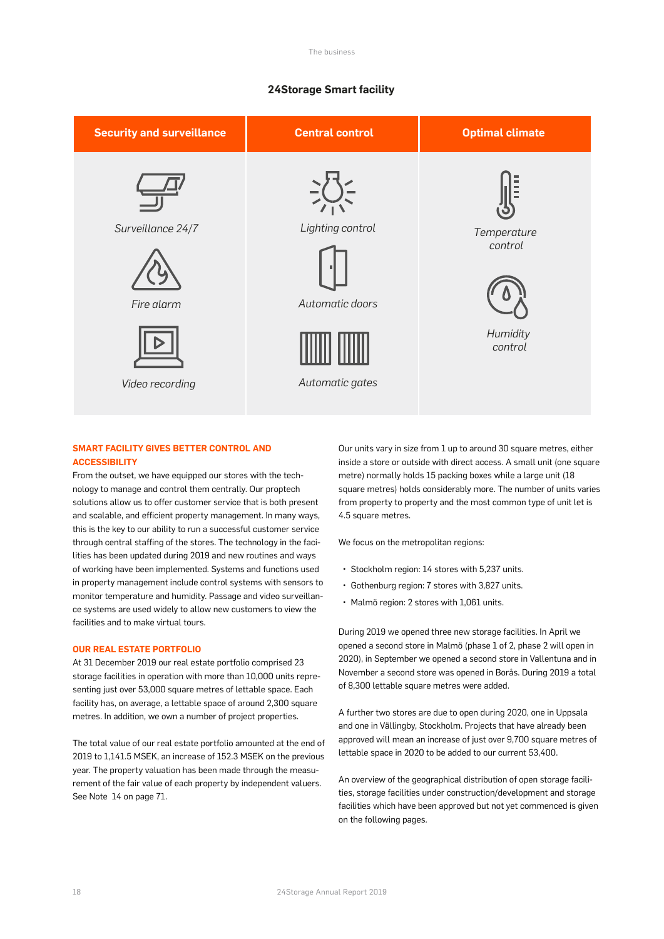## **24Storage Smart facility**



# **SMART FACILITY GIVES BETTER CONTROL AND ACCESSIBILITY**

From the outset, we have equipped our stores with the technology to manage and control them centrally. Our proptech solutions allow us to offer customer service that is both present and scalable, and efficient property management. In many ways, this is the key to our ability to run a successful customer service through central staffing of the stores. The technology in the facilities has been updated during 2019 and new routines and ways of working have been implemented. Systems and functions used in property management include control systems with sensors to monitor temperature and humidity. Passage and video surveillance systems are used widely to allow new customers to view the facilities and to make virtual tours.

#### **OUR REAL ESTATE PORTFOLIO**

At 31 December 2019 our real estate portfolio comprised 23 storage facilities in operation with more than 10,000 units representing just over 53,000 square metres of lettable space. Each facility has, on average, a lettable space of around 2,300 square metres. In addition, we own a number of project properties.

The total value of our real estate portfolio amounted at the end of 2019 to 1,141.5 MSEK, an increase of 152.3 MSEK on the previous year. The property valuation has been made through the measurement of the fair value of each property by independent valuers. See Note 14 on page 71.

Our units vary in size from 1 up to around 30 square metres, either inside a store or outside with direct access. A small unit (one square metre) normally holds 15 packing boxes while a large unit (18 square metres) holds considerably more. The number of units varies from property to property and the most common type of unit let is 4.5 square metres.

We focus on the metropolitan regions:

- Stockholm region: 14 stores with 5,237 units.
- Gothenburg region: 7 stores with 3,827 units.
- Malmö region: 2 stores with 1,061 units.

During 2019 we opened three new storage facilities. In April we opened a second store in Malmö (phase 1 of 2, phase 2 will open in 2020), in September we opened a second store in Vallentuna and in November a second store was opened in Borås. During 2019 a total of 8,300 lettable square metres were added.

A further two stores are due to open during 2020, one in Uppsala and one in Vällingby, Stockholm. Projects that have already been approved will mean an increase of just over 9,700 square metres of lettable space in 2020 to be added to our current 53,400.

An overview of the geographical distribution of open storage facilities, storage facilities under construction/development and storage facilities which have been approved but not yet commenced is given on the following pages.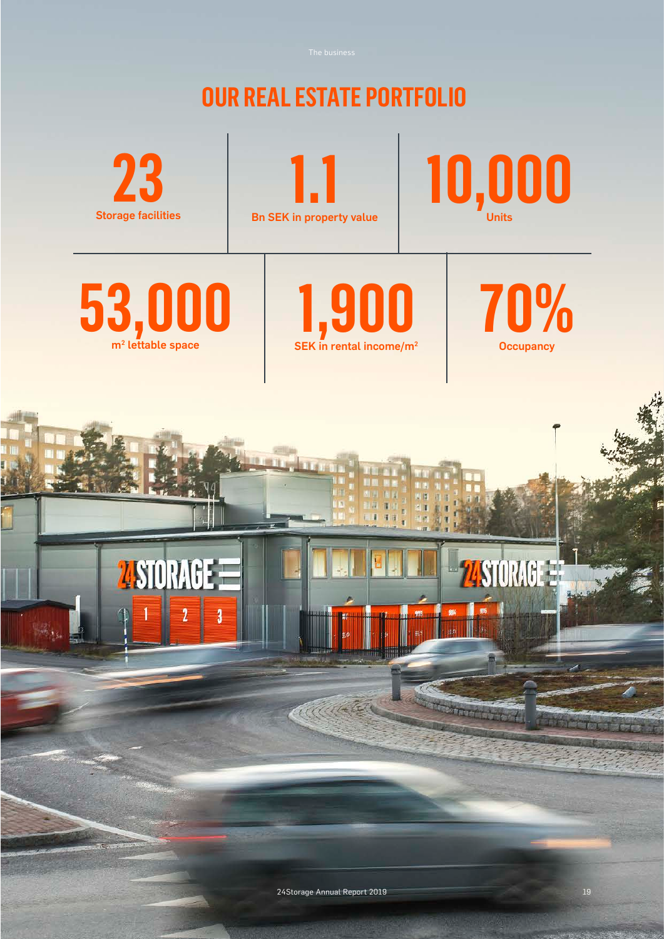**OUR REAL ESTATE PORTFOLIO 10,000 23 1.1** Storage facilities Bn SEK in property value **53,000 1,900 70%** m<sup>2</sup> lettable space SEK in rental income/m<sup>2</sup> **Occupancy ATT AND MSIORAGE ZISTORAGE** Adductor 24Storage Annual Report 2019 19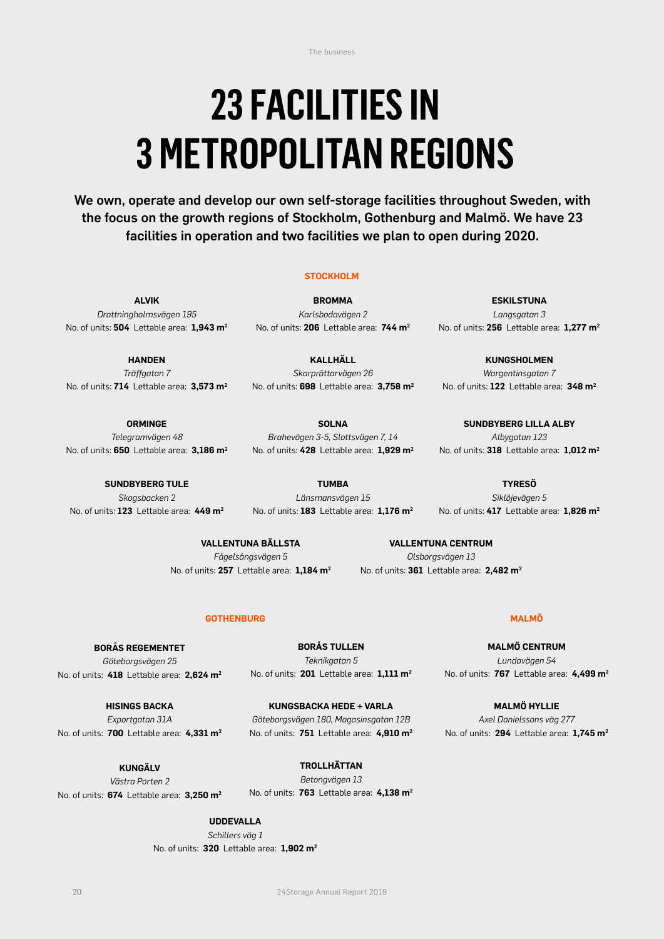The business

# **23 FACILITIES IN 3 METROPOLITAN REGIONS**

We own, operate and develop our own self-storage facilities throughout Sweden, with the focus on the growth regions of Stockholm, Gothenburg and Malmö. We have 23 facilities in operation and two facilities we plan to open during 2020.

# **STOCKHOLM**

**ALVIK** *Drottningholmsvägen 195* No. of units: **504** Lettable area: **1,943 m2**

**HANDEN** *Träffgatan 7* No. of units: **714** Lettable area: **3,573 m2**

**BROMMA** *Karlsbodavägen 2* No. of units: **206** Lettable area: **744 m2**

**KALLHÄLL** *Skarprättarvägen 26* No. of units: **698** Lettable area: **3,758 m2**

**ESKILSTUNA** *Langsgatan 3* No. of units: **256** Lettable area: **1,277 m2**

**KUNGSHOLMEN** *Wargentinsgatan 7* No. of units: **122** Lettable area: **348 m2**

**SUNDBYBERG LILLA ALBY** *Albygatan 123* No. of units: **318** Lettable area: **1,012 m2**

**TYRESÖ** *Siklöjevägen 5* No. of units: **417** Lettable area: **1,826 m2**

**ORMINGE** *Telegramvägen 48* No. of units: **650** Lettable area: **3,186 m2**

**SUNDBYBERG TULE** *Skogsbacken 2* No. of units: **123** Lettable area: **449 m2**

*Brahevägen 3-5, Slottsvägen 7, 14* No. of units: **428** Lettable area: **1,929 m2**

**SOLNA**

**TUMBA** *Länsmansvägen 15* No. of units: **183** Lettable area: **1,176 m2**

**VALLENTUNA BÄLLSTA** *Fågelsångsvägen 5* No. of units: **257** Lettable area: **1,184 m2**

**VALLENTUNA CENTRUM** *Olsborgsvägen 13* No. of units: **361** Lettable area: **2,482 m2**

# **GOTHENBURG MALMÖ**

**BORÅS REGEMENTET** *Göteborgsvägen 25* No. of units: **418** Lettable area: **2,624 m2**

**BORÅS TULLEN** *Teknikgatan 5* No. of units: **201** Lettable area: **1,111 m2**

**HISINGS BACKA** *Exportgatan 31A* No. of units: **700** Lettable area: **4,331 m2**

**KUNGSBACKA HEDE + VARLA** *Göteborgsvägen 180, Magasinsgatan 12B* No. of units: **751** Lettable area: **4,910 m2**

**KUNGÄLV** *Västra Porten 2*  No. of units: **674** Lettable area: **3,250 m2**

**TROLLHÄTTAN** *Betongvägen 13* No. of units: **763** Lettable area: **4,138 m2**

**UDDEVALLA**

*Schillers väg 1* No. of units: **320** Lettable area: **1,902 m2**

**MALMÖ CENTRUM** *Lundavägen 54* No. of units: **767** Lettable area: **4,499 m2**

**MALMÖ HYLLIE** *Axel Danielssons väg 277* No. of units: **294** Lettable area: **1,745 m2**